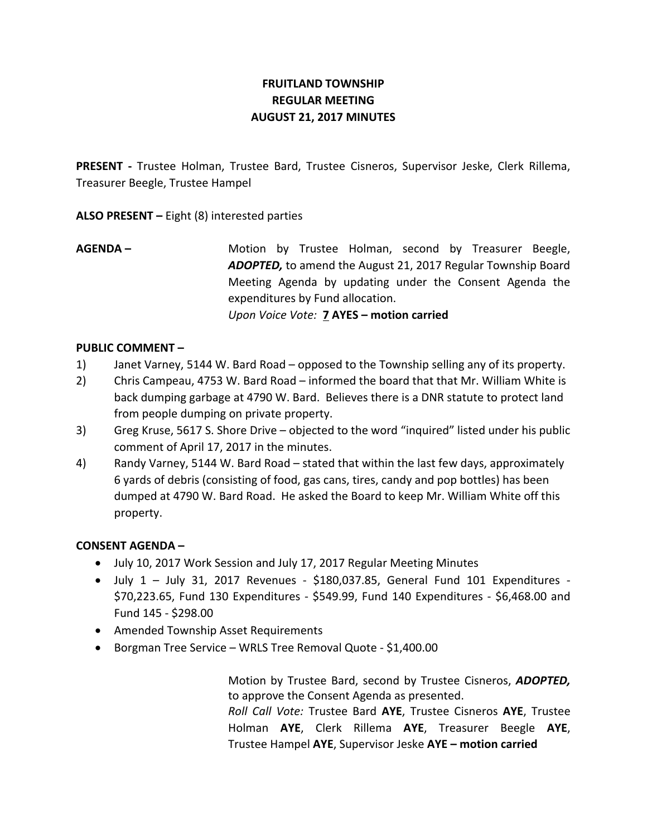# **FRUITLAND TOWNSHIP REGULAR MEETING AUGUST 21, 2017 MINUTES**

**PRESENT -** Trustee Holman, Trustee Bard, Trustee Cisneros, Supervisor Jeske, Clerk Rillema, Treasurer Beegle, Trustee Hampel

**ALSO PRESENT –** Eight (8) interested parties

**AGENDA –** Motion by Trustee Holman, second by Treasurer Beegle, *ADOPTED,* to amend the August 21, 2017 Regular Township Board Meeting Agenda by updating under the Consent Agenda the expenditures by Fund allocation. *Upon Voice Vote:* **7 AYES – motion carried**

## **PUBLIC COMMENT –**

- 1) Janet Varney, 5144 W. Bard Road opposed to the Township selling any of its property.
- 2) Chris Campeau, 4753 W. Bard Road informed the board that that Mr. William White is back dumping garbage at 4790 W. Bard. Believes there is a DNR statute to protect land from people dumping on private property.
- 3) Greg Kruse, 5617 S. Shore Drive objected to the word "inquired" listed under his public comment of April 17, 2017 in the minutes.
- 4) Randy Varney, 5144 W. Bard Road stated that within the last few days, approximately 6 yards of debris (consisting of food, gas cans, tires, candy and pop bottles) has been dumped at 4790 W. Bard Road. He asked the Board to keep Mr. William White off this property.

### **CONSENT AGENDA –**

- July 10, 2017 Work Session and July 17, 2017 Regular Meeting Minutes
- $\bullet$  July 1 July 31, 2017 Revenues \$180,037.85, General Fund 101 Expenditures -\$70,223.65, Fund 130 Expenditures - \$549.99, Fund 140 Expenditures - \$6,468.00 and Fund 145 - \$298.00
- Amended Township Asset Requirements
- Borgman Tree Service WRLS Tree Removal Quote \$1,400.00

Motion by Trustee Bard, second by Trustee Cisneros, *ADOPTED,*  to approve the Consent Agenda as presented. *Roll Call Vote:* Trustee Bard **AYE**, Trustee Cisneros **AYE**, Trustee Holman **AYE**, Clerk Rillema **AYE**, Treasurer Beegle **AYE**, Trustee Hampel **AYE**, Supervisor Jeske **AYE – motion carried**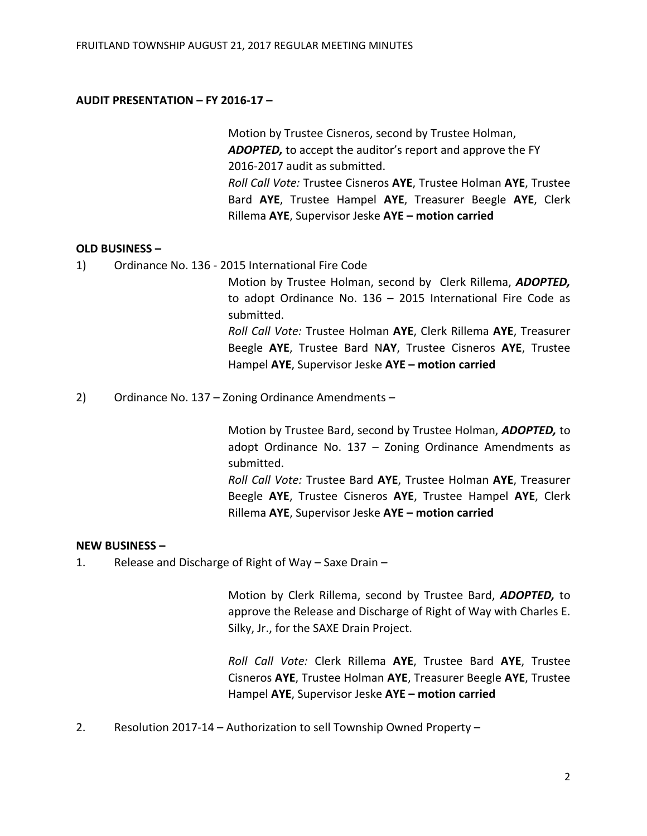### **AUDIT PRESENTATION – FY 2016-17 –**

Motion by Trustee Cisneros, second by Trustee Holman, *ADOPTED,* to accept the auditor's report and approve the FY 2016-2017 audit as submitted. *Roll Call Vote:* Trustee Cisneros **AYE**, Trustee Holman **AYE**, Trustee Bard **AYE**, Trustee Hampel **AYE**, Treasurer Beegle **AYE**, Clerk Rillema **AYE**, Supervisor Jeske **AYE – motion carried**

### **OLD BUSINESS –**

1) Ordinance No. 136 - 2015 International Fire Code

Motion by Trustee Holman, second by Clerk Rillema, *ADOPTED,*  to adopt Ordinance No. 136 – 2015 International Fire Code as submitted. *Roll Call Vote:* Trustee Holman **AYE**, Clerk Rillema **AYE**, Treasurer Beegle **AYE**, Trustee Bard N**AY**, Trustee Cisneros **AYE**, Trustee

Hampel **AYE**, Supervisor Jeske **AYE – motion carried**

2) Ordinance No. 137 – Zoning Ordinance Amendments –

Motion by Trustee Bard, second by Trustee Holman, *ADOPTED,* to adopt Ordinance No. 137 – Zoning Ordinance Amendments as submitted.

*Roll Call Vote:* Trustee Bard **AYE**, Trustee Holman **AYE**, Treasurer Beegle **AYE**, Trustee Cisneros **AYE**, Trustee Hampel **AYE**, Clerk Rillema **AYE**, Supervisor Jeske **AYE – motion carried**

### **NEW BUSINESS –**

1. Release and Discharge of Right of Way – Saxe Drain –

Motion by Clerk Rillema, second by Trustee Bard, *ADOPTED,* to approve the Release and Discharge of Right of Way with Charles E. Silky, Jr., for the SAXE Drain Project.

*Roll Call Vote:* Clerk Rillema **AYE**, Trustee Bard **AYE**, Trustee Cisneros **AYE**, Trustee Holman **AYE**, Treasurer Beegle **AYE**, Trustee Hampel **AYE**, Supervisor Jeske **AYE – motion carried**

2. Resolution 2017-14 – Authorization to sell Township Owned Property –